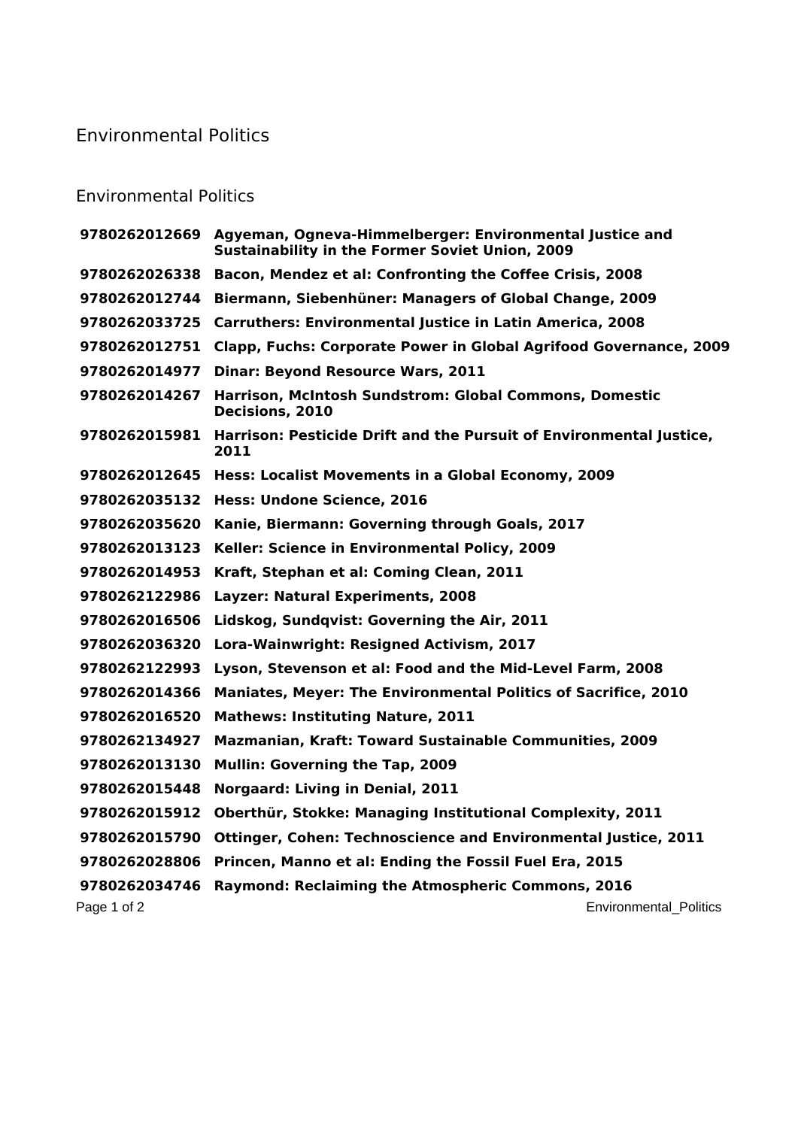## Environmental Politics

## Environmental Politics

|               | 9780262012669 Agyeman, Ogneva-Himmelberger: Environmental Justice and<br><b>Sustainability in the Former Soviet Union, 2009</b> |
|---------------|---------------------------------------------------------------------------------------------------------------------------------|
| 9780262026338 | Bacon, Mendez et al: Confronting the Coffee Crisis, 2008                                                                        |
| 9780262012744 | Biermann, Siebenhüner: Managers of Global Change, 2009                                                                          |
| 9780262033725 | <b>Carruthers: Environmental Justice in Latin America, 2008</b>                                                                 |
| 9780262012751 | <b>Clapp, Fuchs: Corporate Power in Global Agrifood Governance, 2009</b>                                                        |
| 9780262014977 | <b>Dinar: Beyond Resource Wars, 2011</b>                                                                                        |
| 9780262014267 | Harrison, McIntosh Sundstrom: Global Commons, Domestic<br>Decisions, 2010                                                       |
| 9780262015981 | Harrison: Pesticide Drift and the Pursuit of Environmental Justice,<br>2011                                                     |
|               | 9780262012645 Hess: Localist Movements in a Global Economy, 2009                                                                |
|               | 9780262035132 Hess: Undone Science, 2016                                                                                        |
| 9780262035620 | Kanie, Biermann: Governing through Goals, 2017                                                                                  |
| 9780262013123 | Keller: Science in Environmental Policy, 2009                                                                                   |
| 9780262014953 | Kraft, Stephan et al: Coming Clean, 2011                                                                                        |
| 9780262122986 | Layzer: Natural Experiments, 2008                                                                                               |
| 9780262016506 | Lidskog, Sundqvist: Governing the Air, 2011                                                                                     |
| 9780262036320 | Lora-Wainwright: Resigned Activism, 2017                                                                                        |
| 9780262122993 | Lyson, Stevenson et al: Food and the Mid-Level Farm, 2008                                                                       |
| 9780262014366 | <b>Maniates, Meyer: The Environmental Politics of Sacrifice, 2010</b>                                                           |
| 9780262016520 | <b>Mathews: Instituting Nature, 2011</b>                                                                                        |
| 9780262134927 | <b>Mazmanian, Kraft: Toward Sustainable Communities, 2009</b>                                                                   |
| 9780262013130 | Mullin: Governing the Tap, 2009                                                                                                 |
| 9780262015448 | <b>Norgaard: Living in Denial, 2011</b>                                                                                         |
| 9780262015912 | Oberthür, Stokke: Managing Institutional Complexity, 2011                                                                       |
| 9780262015790 | <b>Ottinger, Cohen: Technoscience and Environmental Justice, 2011</b>                                                           |
| 9780262028806 | Princen, Manno et al: Ending the Fossil Fuel Era, 2015                                                                          |
| 9780262034746 | <b>Raymond: Reclaiming the Atmospheric Commons, 2016</b>                                                                        |
| Page 1 of 2   | <b>Environmental Politics</b>                                                                                                   |